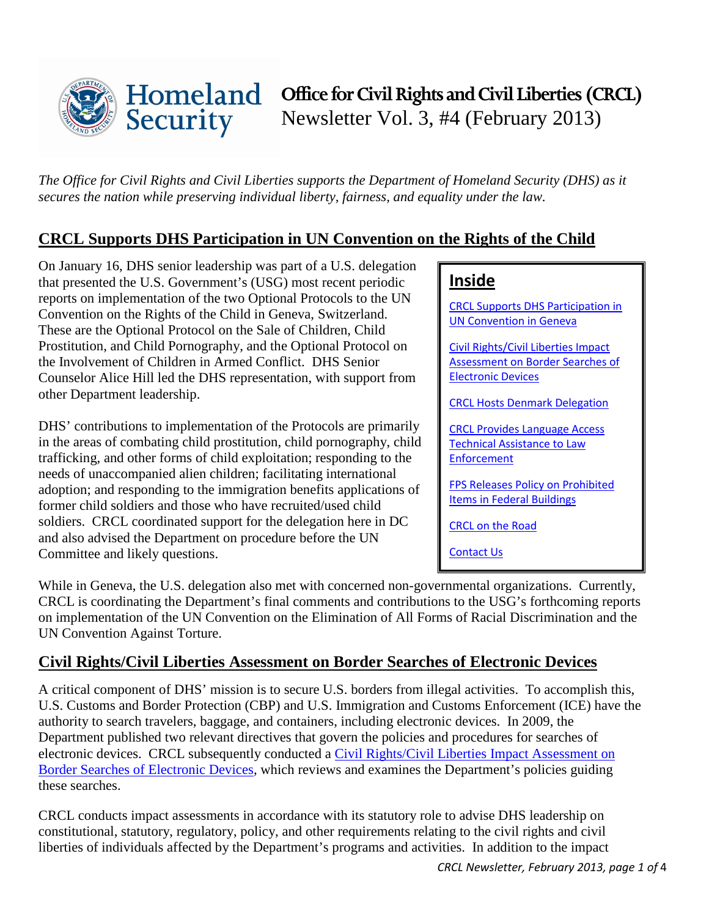

*The Office for Civil Rights and Civil Liberties supports the Department of Homeland Security (DHS) as it secures the nation while preserving individual liberty, fairness, and equality under the law.* 

## <span id="page-0-0"></span>**CRCL Supports DHS Participation in UN Convention on the Rights of the Child**

On January 16, DHS senior leadership was part of a U.S. delegation that presented the U.S. Government's (USG) most recent periodic reports on implementation of the two Optional Protocols to the UN Convention on the Rights of the Child in Geneva, Switzerland. These are the Optional Protocol on the Sale of Children, Child Prostitution, and Child Pornography, and the Optional Protocol on the Involvement of Children in Armed Conflict. DHS Senior Counselor Alice Hill led the DHS representation, with support from other Department leadership.

DHS' contributions to implementation of the Protocols are primarily in the areas of combating child prostitution, child pornography, child trafficking, and other forms of child exploitation; responding to the needs of unaccompanied alien children; facilitating international adoption; and responding to the immigration benefits applications of former child soldiers and those who have recruited/used child soldiers. CRCL coordinated support for the delegation here in DC and also advised the Department on procedure before the UN Committee and likely questions.

## **Inside**

[CRCL Supports DHS Participation in](#page-0-0)  [UN Convention in Geneva](#page-0-0)

[Civil Rights/Civil Liberties Impact](#page-0-1)  [Assessment on Border Searches of](#page-0-1) [Electronic Devices](#page-0-1)

[CRCL Hosts Denmark](#page-1-0) Delegation

CRCL Provides [Language Access](#page-1-1)  [Technical Assistance to Law](#page-1-1)  [Enforcement](#page-1-1)

FPS Releases [Policy on Prohibited](#page-2-0) [Items in Federal Buildings](#page-2-0)

[CRCL on the Road](#page-2-1)

[Contact Us](#page-2-2)

While in Geneva, the U.S. delegation also met with concerned non-governmental organizations. Currently, CRCL is coordinating the Department's final comments and contributions to the USG's forthcoming reports on implementation of the UN Convention on the Elimination of All Forms of Racial Discrimination and the UN Convention Against Torture.

## <span id="page-0-1"></span>**Civil Rights/Civil Liberties Assessment on Border Searches of Electronic Devices**

A critical component of DHS' mission is to secure U.S. borders from illegal activities. To accomplish this, U.S. Customs and Border Protection (CBP) and U.S. Immigration and Customs Enforcement (ICE) have the authority to search travelers, baggage, and containers, including electronic devices. In 2009, the Department published two relevant directives that govern the policies and procedures for searches of electronic devices. CRCL subsequently conducted a [Civil Rights/Civil Liberties Impact Assessment on](http://www.dhs.gov/sites/default/files/publications/crcl-border-search-impact-assessment_01-29-13_1.pdf)  [Border Searches of Electronic Devices,](http://www.dhs.gov/sites/default/files/publications/crcl-border-search-impact-assessment_01-29-13_1.pdf) which reviews and examines the Department's policies guiding these searches.

CRCL conducts impact assessments in accordance with its statutory role to advise DHS leadership on constitutional, statutory, regulatory, policy, and other requirements relating to the civil rights and civil liberties of individuals affected by the Department's programs and activities. In addition to the impact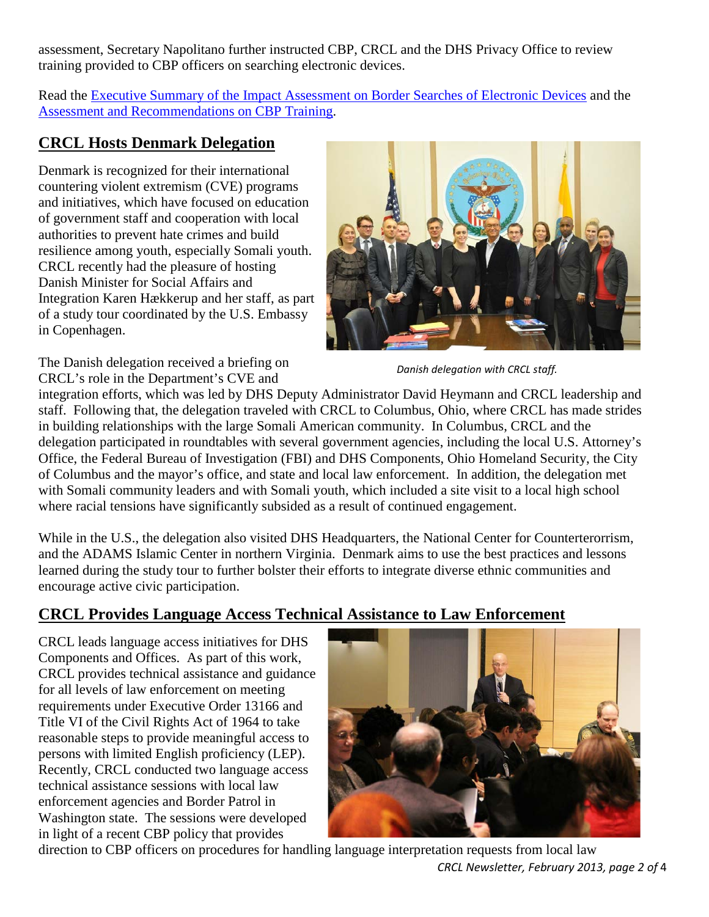assessment, Secretary Napolitano further instructed CBP, CRCL and the DHS Privacy Office to review training provided to CBP officers on searching electronic devices.

Read the [Executive Summary of the Impact Assessment on Border Searches of Electronic Devices](http://www.dhs.gov/sites/default/files/publications/crcl-border-search-impact-assessment_01-29-13_1.pdf) and the [Assessment and Recommendations on CBP Training.](http://www.dhs.gov/xlibrary/assets/crcl-cbp-search-assessment-0810.pdf)

## <span id="page-1-0"></span>**CRCL Hosts Denmark Delegation**

Denmark is recognized for their international countering violent extremism (CVE) programs and initiatives, which have focused on education of government staff and cooperation with local authorities to prevent hate crimes and build resilience among youth, especially Somali youth. CRCL recently had the pleasure of hosting Danish Minister for Social Affairs and Integration Karen Hækkerup and her staff, as part of a study tour coordinated by the U.S. Embassy in Copenhagen.



The Danish delegation received a briefing on CRCL's role in the Department's CVE and

*Danish delegation with CRCL staff.*

integration efforts, which was led by DHS Deputy Administrator David Heymann and CRCL leadership and staff. Following that, the delegation traveled with CRCL to Columbus, Ohio, where CRCL has made strides in building relationships with the large Somali American community. In Columbus, CRCL and the delegation participated in roundtables with several government agencies, including the local U.S. Attorney's Office, the Federal Bureau of Investigation (FBI) and DHS Components, Ohio Homeland Security, the City of Columbus and the mayor's office, and state and local law enforcement. In addition, the delegation met with Somali community leaders and with Somali youth, which included a site visit to a local high school where racial tensions have significantly subsided as a result of continued engagement.

While in the U.S., the delegation also visited DHS Headquarters, the National Center for Counterterorrism, and the ADAMS Islamic Center in northern Virginia. Denmark aims to use the best practices and lessons learned during the study tour to further bolster their efforts to integrate diverse ethnic communities and encourage active civic participation.

# <span id="page-1-1"></span>**CRCL Provides Language Access Technical Assistance to Law Enforcement**

CRCL leads language access initiatives for DHS Components and Offices. As part of this work, CRCL provides technical assistance and guidance for all levels of law enforcement on meeting requirements under Executive Order 13166 and Title VI of the Civil Rights Act of 1964 to take reasonable steps to provide meaningful access to persons with limited English proficiency (LEP). Recently, CRCL conducted two language access technical assistance sessions with local law enforcement agencies and Border Patrol in Washington state. The sessions were developed in light of a recent CBP policy that provides



*CRCL Newsletter, February 2013, page 2 of* 4 direction to CBP officers on procedures for handling language interpretation requests from local law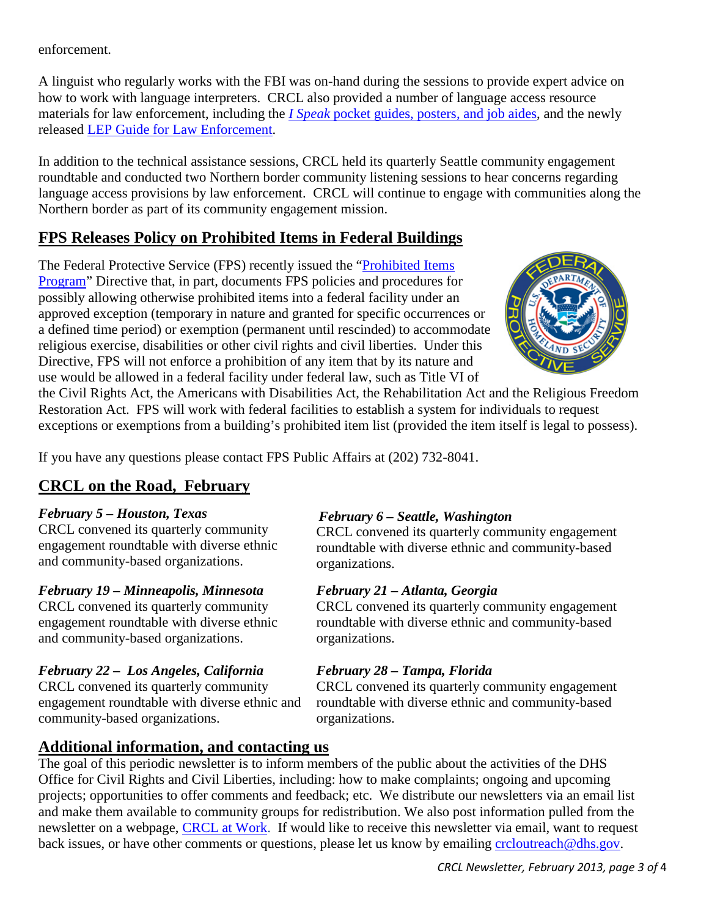#### enforcement.

A linguist who regularly works with the FBI was on-hand during the sessions to provide expert advice on how to work with language interpreters. CRCL also provided a number of language access resource materials for law enforcement, including the *I Speak* [pocket guides, posters, and job aides,](http://www.dhs.gov/department-homeland-security-language-access-plan#2) and the newly released [LEP Guide for Law Enforcement.](http://www.dhs.gov/sites/default/files/publications/lep-resouce-guide-law-enforcement_0.pdf)

In addition to the technical assistance sessions, CRCL held its quarterly Seattle community engagement roundtable and conducted two Northern border community listening sessions to hear concerns regarding language access provisions by law enforcement. CRCL will continue to engage with communities along the Northern border as part of its community engagement mission.

## <span id="page-2-0"></span>**FPS Releases Policy on Prohibited Items in Federal Buildings**

The Federal Protective Service (FPS) recently issued the ["Prohibited Items](http://www.dhs.gov/sites/default/files/publications/foia/prohibited-items-program-nppd-fps-directive-15.9.3.1.pdf)  [Program"](http://www.dhs.gov/sites/default/files/publications/foia/prohibited-items-program-nppd-fps-directive-15.9.3.1.pdf) Directive that, in part, documents FPS policies and procedures for possibly allowing otherwise prohibited items into a federal facility under an approved exception (temporary in nature and granted for specific occurrences or a defined time period) or exemption (permanent until rescinded) to accommodate religious exercise, disabilities or other civil rights and civil liberties. Under this Directive, FPS will not enforce a prohibition of any item that by its nature and use would be allowed in a federal facility under federal law, such as Title VI of



the Civil Rights Act, the Americans with Disabilities Act, the Rehabilitation Act and the Religious Freedom Restoration Act. FPS will work with federal facilities to establish a system for individuals to request exceptions or exemptions from a building's prohibited item list (provided the item itself is legal to possess).

If you have any questions please contact FPS Public Affairs at (202) 732-8041.

# <span id="page-2-1"></span>**CRCL on the Road, February**

#### *February 5 – Houston, Texas*

CRCL convened its quarterly community engagement roundtable with diverse ethnic and community-based organizations.

### *February 19 – Minneapolis, Minnesota*

CRCL convened its quarterly community engagement roundtable with diverse ethnic and community-based organizations.

### *February 22 – Los Angeles, California*

CRCL convened its quarterly community engagement roundtable with diverse ethnic and community-based organizations.

### *February 6 – Seattle, Washington*

CRCL convened its quarterly community engagement roundtable with diverse ethnic and community-based organizations.

### *February 21 – Atlanta, Georgia*

CRCL convened its quarterly community engagement roundtable with diverse ethnic and community-based organizations.

### *February 28 – Tampa, Florida*

CRCL convened its quarterly community engagement roundtable with diverse ethnic and community-based organizations.

### <span id="page-2-2"></span>**Additional information, and contacting us**

The goal of this periodic newsletter is to inform members of the public about the activities of the DHS Office for Civil Rights and Civil Liberties, including: how to make complaints; ongoing and upcoming projects; opportunities to offer comments and feedback; etc. We distribute our newsletters via an email list and make them available to community groups for redistribution. We also post information pulled from the newsletter on a webpage, [CRCL at Work.](http://www.dhs.gov/files/publications/crcl-at-work.shtm) If would like to receive this newsletter via email, want to request back issues, or have other comments or questions, please let us know by emailing [crcloutreach@dhs.gov.](mailto:crcloutreach@dhs.gov)